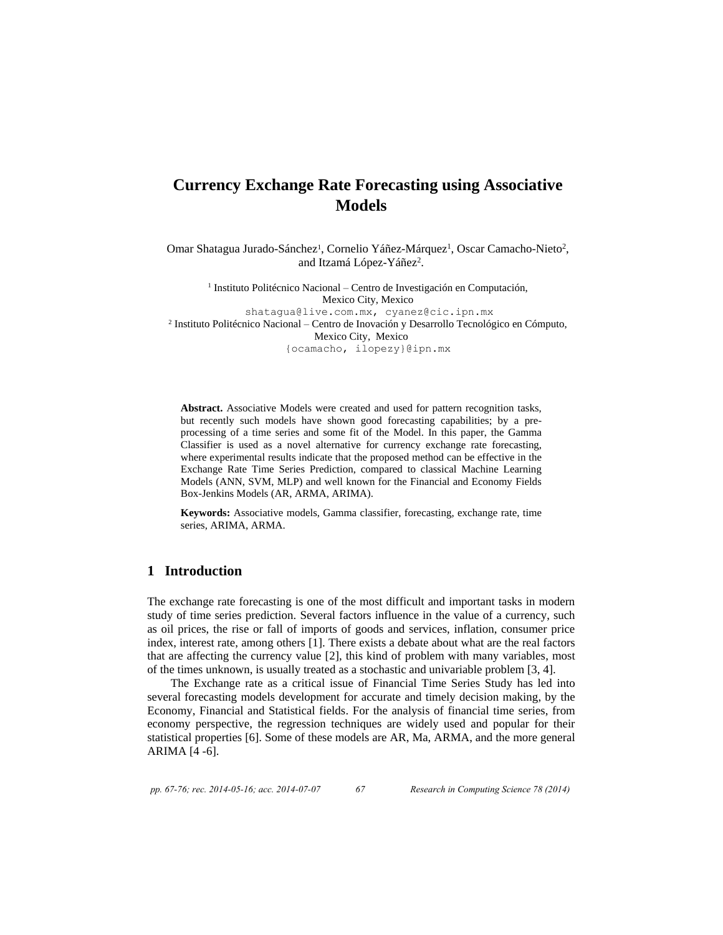# **Currency Exchange Rate Forecasting using Associative Models**

Omar Shatagua Jurado-Sánchez<sup>1</sup>, Cornelio Yáñez-Márquez<sup>1</sup>, Oscar Camacho-Nieto<sup>2</sup>, and Itzamá López-Yáñez<sup>2</sup>.

<sup>1</sup> Instituto Politécnico Nacional – Centro de Investigación en Computación, Mexico City, Mexico [shatagua@live.com.mx,](mailto:shatagua@live.com.mx) [cyanez@cic.ipn.mx](mailto:cyanez@cic.ipn.mx) 2 Instituto Politécnico Nacional – Centro de Inovación y Desarrollo Tecnológico en Cómputo, Mexico City, Mexico {ocamacho, ilopezy}@ipn.mx

**Abstract.** Associative Models were created and used for pattern recognition tasks, but recently such models have shown good forecasting capabilities; by a preprocessing of a time series and some fit of the Model. In this paper, the Gamma Classifier is used as a novel alternative for currency exchange rate forecasting, where experimental results indicate that the proposed method can be effective in the Exchange Rate Time Series Prediction, compared to classical Machine Learning Models (ANN, SVM, MLP) and well known for the Financial and Economy Fields Box-Jenkins Models (AR, ARMA, ARIMA).

**Keywords:** Associative models, Gamma classifier, forecasting, exchange rate, time series, ARIMA, ARMA.

### **1 Introduction**

The exchange rate forecasting is one of the most difficult and important tasks in modern study of time series prediction. Several factors influence in the value of a currency, such as oil prices, the rise or fall of imports of goods and services, inflation, consumer price index, interest rate, among others [1]. There exists a debate about what are the real factors that are affecting the currency value [2], this kind of problem with many variables, most of the times unknown, is usually treated as a stochastic and univariable problem [3, 4].

The Exchange rate as a critical issue of Financial Time Series Study has led into several forecasting models development for accurate and timely decision making, by the Economy, Financial and Statistical fields. For the analysis of financial time series, from economy perspective, the regression techniques are widely used and popular for their statistical properties [6]. Some of these models are AR, Ma, ARMA, and the more general ARIMA [4 -6].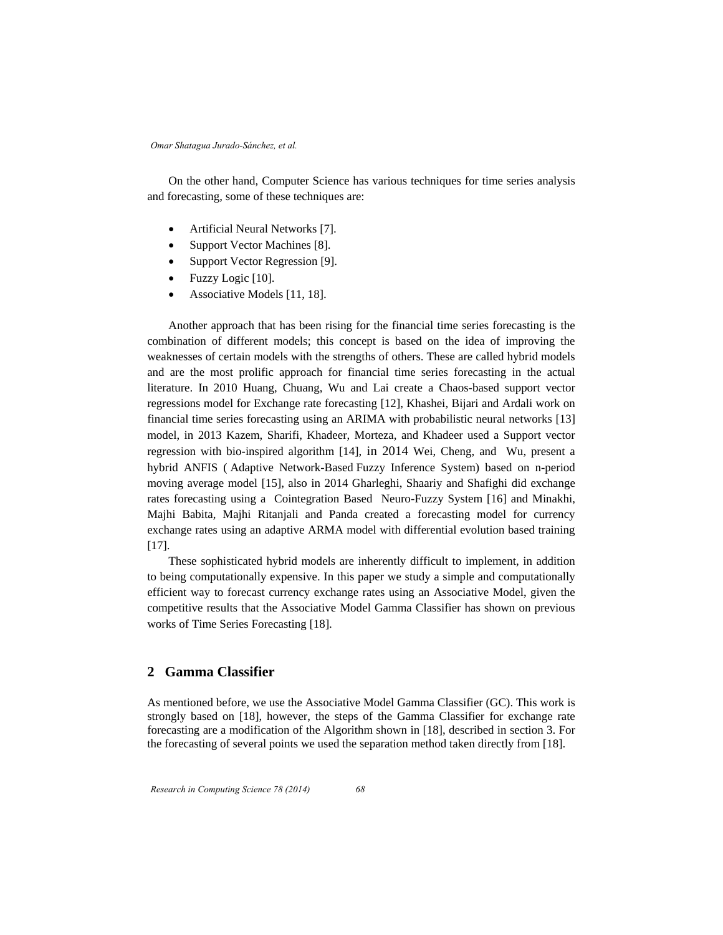On the other hand, Computer Science has various techniques for time series analysis and forecasting, some of these techniques are:

- Artificial Neural Networks [7].
- Support Vector Machines [8].
- Support Vector Regression [9].
- Fuzzy Logic [10].
- Associative Models [11, 18].

Another approach that has been rising for the financial time series forecasting is the combination of different models; this concept is based on the idea of improving the weaknesses of certain models with the strengths of others. These are called hybrid models and are the most prolific approach for financial time series forecasting in the actual literature. In 2010 Huang, Chuang, Wu and Lai create a Chaos-based support vector regressions model for Exchange rate forecasting [12], Khashei, Bijari and Ardali work on financial time series forecasting using an ARIMA with probabilistic neural networks [13] model, in 2013 Kazem, Sharifi, Khadeer, Morteza, and Khadeer used a Support vector regression with bio-inspired algorithm [14], in 2014 Wei, Cheng, and Wu, present a hybrid ANFIS ( Adaptive Network-Based Fuzzy Inference System) based on n-period moving average model [15], also in 2014 Gharleghi, Shaariy and Shafighi did exchange rates forecasting using a Cointegration Based Neuro-Fuzzy System [16] and Minakhi, Majhi Babita, Majhi Ritanjali and Panda created a forecasting model for currency exchange rates using an adaptive ARMA model with differential evolution based training [17].

These sophisticated hybrid models are inherently difficult to implement, in addition to being computationally expensive. In this paper we study a simple and computationally efficient way to forecast currency exchange rates using an Associative Model, given the competitive results that the Associative Model Gamma Classifier has shown on previous works of Time Series Forecasting [18].

# **2 Gamma Classifier**

As mentioned before, we use the Associative Model Gamma Classifier (GC). This work is strongly based on [18], however, the steps of the Gamma Classifier for exchange rate forecasting are a modification of the Algorithm shown in [18], described in section 3. For the forecasting of several points we used the separation method taken directly from [18].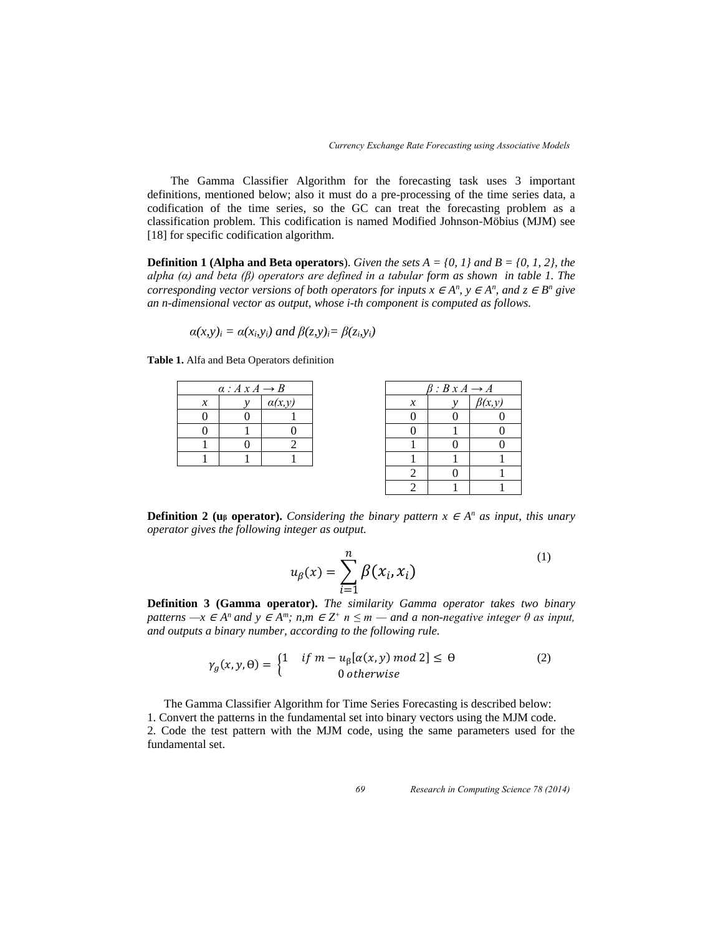The Gamma Classifier Algorithm for the forecasting task uses 3 important definitions, mentioned below; also it must do a pre-processing of the time series data, a codification of the time series, so the GC can treat the forecasting problem as a classification problem. This codification is named Modified Johnson-Möbius (MJM) see [18] for specific codification algorithm.

**Definition 1 (Alpha and Beta operators)**. *Given the sets A = {0, 1} and B = {0, 1, 2}, the alpha (α) and beta (β) operators are defined in a tabular form as shown in table 1. The corresponding vector versions of both operators for inputs*  $x \in A^n$ *,*  $y \in A^n$ *, and*  $z \in B^n$  *give an n-dimensional vector as output, whose i-th component is computed as follows.* 

$$
\alpha(x,y)_i = \alpha(x_i,y_i)
$$
 and  $\beta(z,y)_i = \beta(z_i,y_i)$ 

| $\alpha: A \times A \rightarrow B$ |  |        |  |
|------------------------------------|--|--------|--|
| x                                  |  | a(x,y) |  |
|                                    |  |        |  |
|                                    |  |        |  |
|                                    |  |        |  |
|                                    |  |        |  |

**Table 1.** Alfa and Beta Operators definition

| $\beta: B \times A \longrightarrow A$ |   |              |  |  |
|---------------------------------------|---|--------------|--|--|
| $\mathcal{X}$                         |   | $\beta(x,y)$ |  |  |
| 0                                     | 0 | N            |  |  |
| n                                     |   | П            |  |  |
|                                       |   | 0            |  |  |
|                                       |   |              |  |  |
| 2                                     |   |              |  |  |
| 2                                     |   |              |  |  |

**Definition 2 (u<sub>β</sub> operator).** *Considering the binary pattern*  $x \in A^n$  *as input, this unary operator gives the following integer as output.* 

$$
u_{\beta}(x) = \sum_{i=1}^{n} \beta(x_i, x_i)
$$
 (1)

**Definition 3 (Gamma operator).** *The similarity Gamma operator takes two binary patterns —x*  $\in$  *A<sup>n</sup>* and  $y \in$  *A<sup>m</sup>*; *n,m*  $\in$  *Z*<sup>+</sup> *n*  $\leq$  *m*  $\rightarrow$  *and a non-negative integer*  $\theta$  *as input, and outputs a binary number, according to the following rule.* 

$$
\gamma_g(x, y, \theta) = \begin{cases} 1 & \text{if } m - u_\beta[\alpha(x, y) \text{ mod } 2] \le \theta \\ 0 & \text{otherwise} \end{cases}
$$
 (2)

 The Gamma Classifier Algorithm for Time Series Forecasting is described below: 1. Convert the patterns in the fundamental set into binary vectors using the MJM code. 2. Code the test pattern with the MJM code, using the same parameters used for the fundamental set.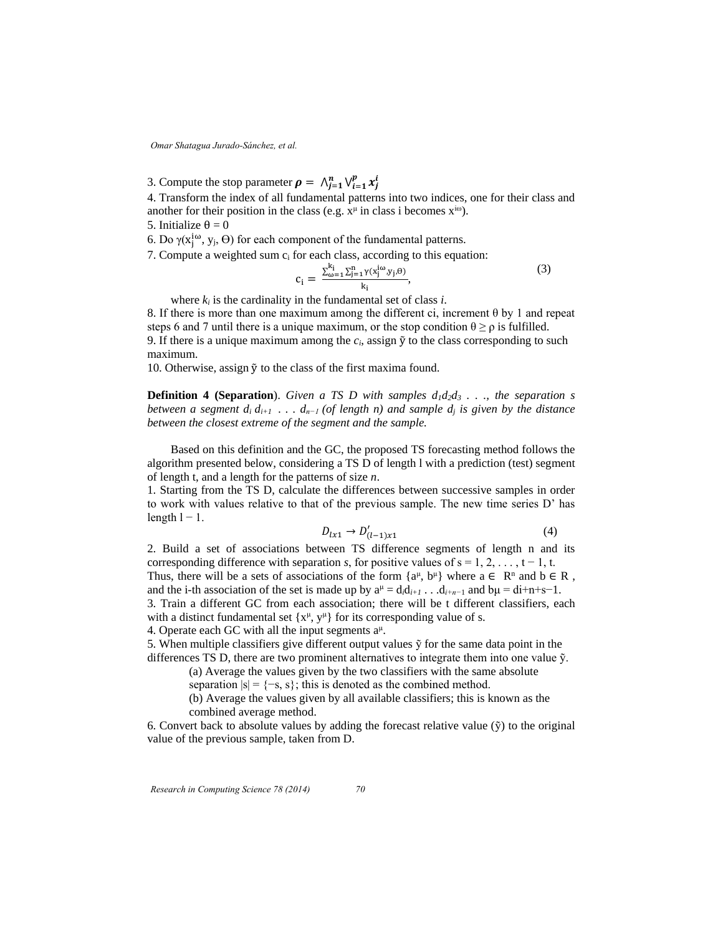3. Compute the stop parameter  $\rho = \bigwedge_{j=1}^{n} \bigvee_{i=1}^{p} x_{j}^{i}$ 

4. Transform the index of all fundamental patterns into two indices, one for their class and another for their position in the class (e.g.  $x^{\mu}$  in class i becomes  $x^{i\omega}$ ).

5. Initialize  $θ = 0$ 

6. Do  $\gamma(x_j^{i\omega}, y_j, Θ)$  for each component of the fundamental patterns.

7. Compute a weighted sum  $c_i$  for each class, according to this equation:

$$
c_i = \frac{\sum_{\omega=1}^{k_i} \sum_{j=1}^n \gamma(x_j^{i\omega}, y_j, \theta)}{k_i},\tag{3}
$$

where  $k_i$  is the cardinality in the fundamental set of class  $i$ .

8. If there is more than one maximum among the different ci, increment θ by 1 and repeat steps 6 and 7 until there is a unique maximum, or the stop condition  $\theta \ge \rho$  is fulfilled. 9. If there is a unique maximum among the  $c_i$ , assign  $\tilde{y}$  to the class corresponding to such maximum.

10. Otherwise, assign  $\tilde{y}$  to the class of the first maxima found.

**Definition 4 (Separation).** Given a TS D with samples  $d_1d_2d_3$  . . ., the separation s *between a segment d<sub>i</sub>*  $d_{i+1}$  *...*  $d_{n-1}$  *(of length n) and sample*  $d_i$  *is given by the distance between the closest extreme of the segment and the sample.* 

Based on this definition and the GC, the proposed TS forecasting method follows the algorithm presented below, considering a TS D of length l with a prediction (test) segment of length t, and a length for the patterns of size *n*.

1. Starting from the TS D, calculate the differences between successive samples in order to work with values relative to that of the previous sample. The new time series D' has length  $l - 1$ .

$$
D_{l x 1} \to D'_{(l-1) x 1} \tag{4}
$$

2. Build a set of associations between TS difference segments of length n and its corresponding difference with separation *s*, for positive values of  $s = 1, 2, \ldots, t - 1, t$ . Thus, there will be a sets of associations of the form  $\{a^{\mu}, b^{\mu}\}\$  where  $a \in \mathbb{R}^n$  and  $b \in \mathbb{R}$ , and the i-th association of the set is made up by  $a^{\mu} = d_i d_{i+1}$ ...  $d_{i+n-1}$  and  $b\mu = di+n+s-1$ . 3. Train a different GC from each association; there will be t different classifiers, each with a distinct fundamental set  $\{x^{\mu}, y^{\mu}\}$  for its corresponding value of s.

4. Operate each GC with all the input segments  $a^{\mu}$ .

5. When multiple classifiers give different output values  $\tilde{y}$  for the same data point in the differences TS D, there are two prominent alternatives to integrate them into one value  $\tilde{y}$ .

(a) Average the values given by the two classifiers with the same absolute

separation  $|s| = \{-s, s\}$ ; this is denoted as the combined method.

(b) Average the values given by all available classifiers; this is known as the combined average method.

6. Convert back to absolute values by adding the forecast relative value  $(\tilde{y})$  to the original value of the previous sample, taken from D.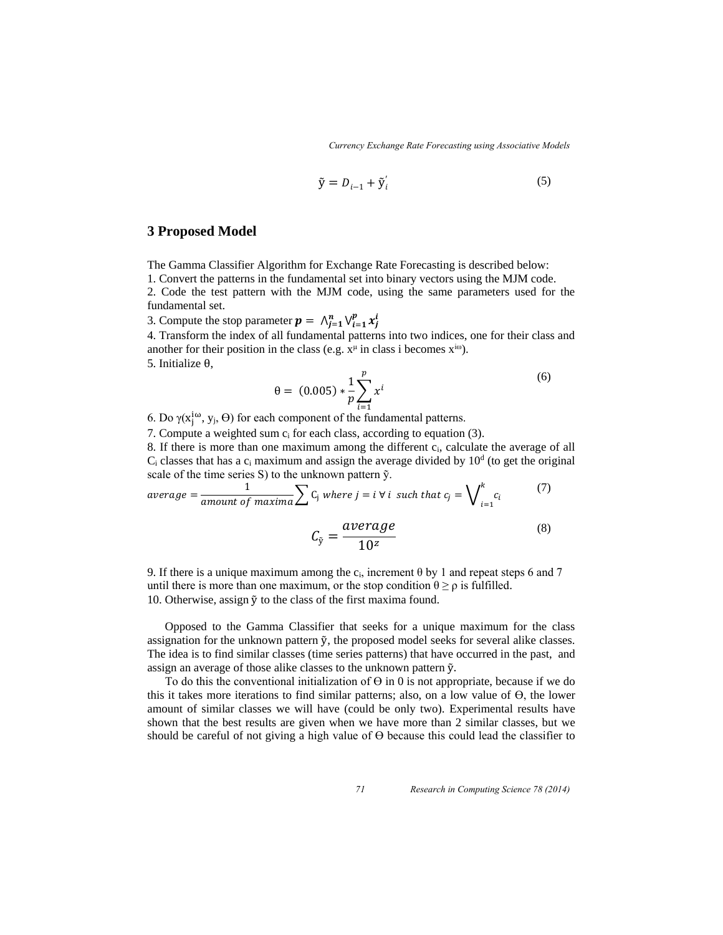*Currency Exchange Rate Forecasting using Associative Models*

$$
\tilde{\mathbf{y}} = D_{i-1} + \tilde{\mathbf{y}}_i' \tag{5}
$$

### **3 Proposed Model**

The Gamma Classifier Algorithm for Exchange Rate Forecasting is described below:

1. Convert the patterns in the fundamental set into binary vectors using the MJM code.

2. Code the test pattern with the MJM code, using the same parameters used for the fundamental set.

3. Compute the stop parameter  $p = \bigwedge_{j=1}^{n} \bigvee_{i=1}^{p} x_{j}^{i}$ 

4. Transform the index of all fundamental patterns into two indices, one for their class and another for their position in the class (e.g.  $x^{\mu}$  in class i becomes  $x^{i\omega}$ ).

5. Initialize θ,

$$
\theta = (0.005) * \frac{1}{p} \sum_{i=1}^{p} x^{i}
$$
\n(6)

6. Do γ( $x_j^{i\omega}$ , y<sub>j</sub>,  $\Theta$ ) for each component of the fundamental patterns.

7. Compute a weighted sum ci for each class, according to equation (3).

8. If there is more than one maximum among the different ci, calculate the average of all  $C_i$  classes that has a  $c_i$  maximum and assign the average divided by  $10<sup>d</sup>$  (to get the original scale of the time series S) to the unknown pattern ỹ.

$$
average = \frac{1}{amount\ of\ maxima} \sum C_j\ where\ j = i \ \forall\ i\ such\ that\ c_j = \bigvee\nolimits_{i=1}^k c_i
$$
 (7)

$$
C_{\tilde{y}} = \frac{average}{10^z} \tag{8}
$$

9. If there is a unique maximum among the  $c_i$ , increment  $\theta$  by 1 and repeat steps 6 and 7 until there is more than one maximum, or the stop condition  $\theta \ge \rho$  is fulfilled. 10. Otherwise, assign ỹ to the class of the first maxima found.

 Opposed to the Gamma Classifier that seeks for a unique maximum for the class assignation for the unknown pattern ỹ, the proposed model seeks for several alike classes. The idea is to find similar classes (time series patterns) that have occurred in the past, and assign an average of those alike classes to the unknown pattern ỹ.

To do this the conventional initialization of  $\Theta$  in 0 is not appropriate, because if we do this it takes more iterations to find similar patterns; also, on a low value of  $\Theta$ , the lower amount of similar classes we will have (could be only two). Experimental results have shown that the best results are given when we have more than 2 similar classes, but we should be careful of not giving a high value of Ө because this could lead the classifier to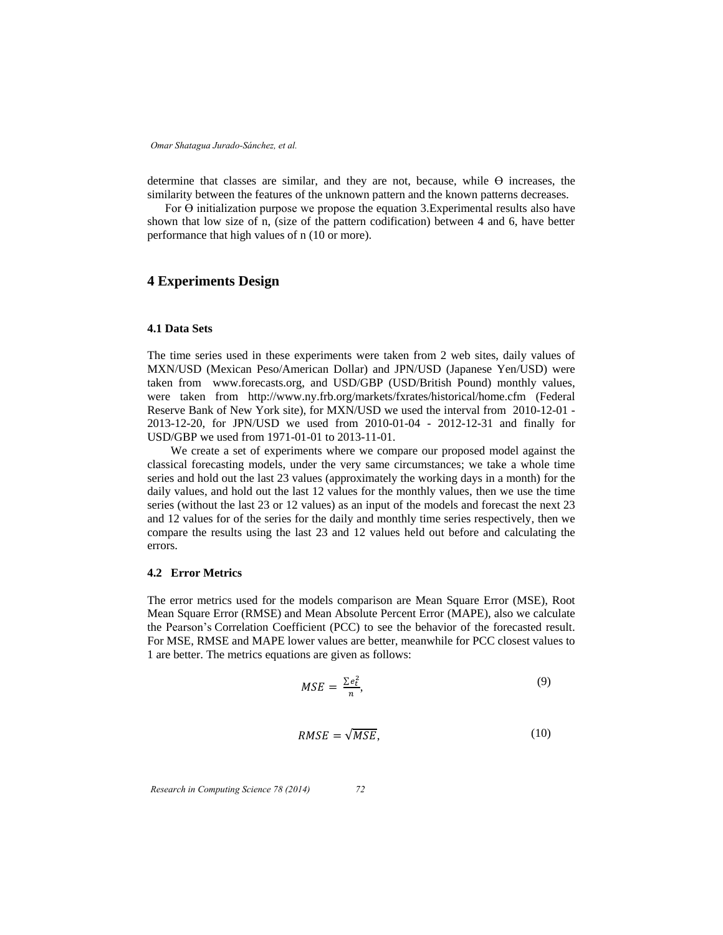determine that classes are similar, and they are not, because, while  $\Theta$  increases, the similarity between the features of the unknown pattern and the known patterns decreases.

For  $\Theta$  initialization purpose we propose the equation 3. Experimental results also have shown that low size of n, (size of the pattern codification) between 4 and 6, have better performance that high values of n (10 or more).

# **4 Experiments Design**

### **4.1 Data Sets**

The time series used in these experiments were taken from 2 web sites, daily values of MXN/USD (Mexican Peso/American Dollar) and JPN/USD (Japanese Yen/USD) were taken from [www.forecasts.org,](http://www.forecasts.org/) and USD/GBP (USD/British Pound) monthly values, were taken from <http://www.ny.frb.org/markets/fxrates/historical/home.cfm>(Federal Reserve Bank of New York site), for MXN/USD we used the interval from 2010-12-01 - 2013-12-20, for JPN/USD we used from 2010-01-04 - 2012-12-31 and finally for USD/GBP we used from 1971-01-01 to 2013-11-01.

We create a set of experiments where we compare our proposed model against the classical forecasting models, under the very same circumstances; we take a whole time series and hold out the last 23 values (approximately the working days in a month) for the daily values, and hold out the last 12 values for the monthly values, then we use the time series (without the last 23 or 12 values) as an input of the models and forecast the next 23 and 12 values for of the series for the daily and monthly time series respectively, then we compare the results using the last 23 and 12 values held out before and calculating the errors.

#### **4.2 Error Metrics**

The error metrics used for the models comparison are Mean Square Error (MSE), Root Mean Square Error (RMSE) and Mean Absolute Percent Error (MAPE), also we calculate the Pearson's Correlation Coefficient (PCC) to see the behavior of the forecasted result. For MSE, RMSE and MAPE lower values are better, meanwhile for PCC closest values to 1 are better. The metrics equations are given as follows:

$$
MSE = \frac{\sum e_t^2}{n},\tag{9}
$$

$$
RMSE = \sqrt{MSE},\tag{10}
$$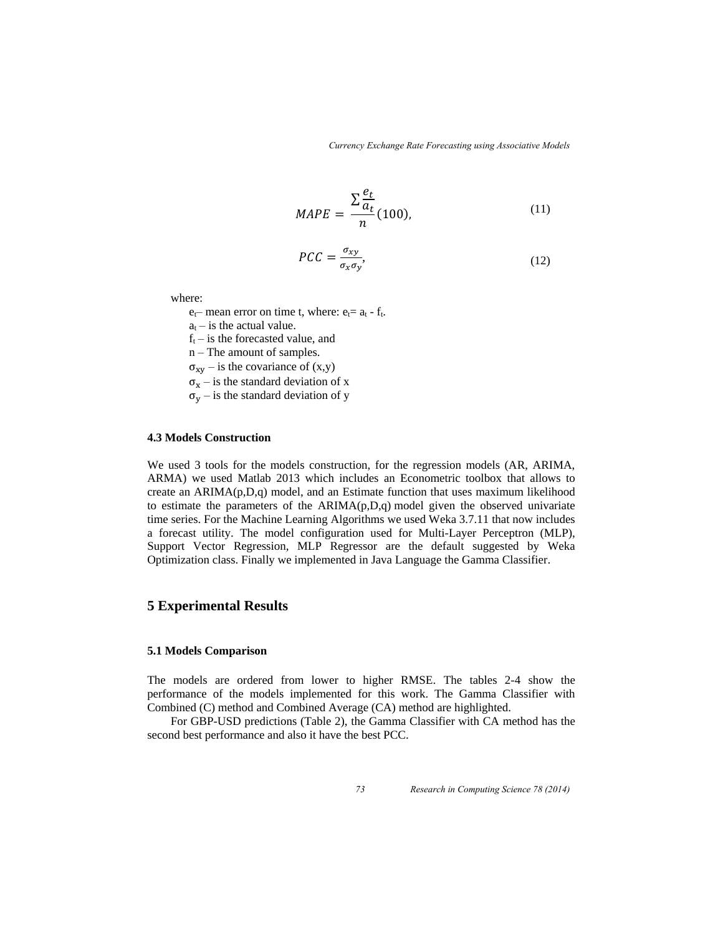*Currency Exchange Rate Forecasting using Associative Models*

$$
MAPE = \frac{\sum \frac{e_t}{a_t}}{n} (100), \tag{11}
$$

$$
PCC = \frac{\sigma_{xy}}{\sigma_x \sigma_y},\tag{12}
$$

where:

 $e_t$ – mean error on time t, where:  $e_t$ =  $a_t$  -  $f_t$ .

 $a_t$  – is the actual value.

 $f_t$  – is the forecasted value, and

n – The amount of samples.

 $\sigma_{xy}$  – is the covariance of  $(x,y)$ 

 $\sigma_x$  – is the standard deviation of x

 $\sigma_{\rm v}$  – is the standard deviation of y

### **4.3 Models Construction**

We used 3 tools for the models construction, for the regression models (AR, ARIMA, ARMA) we used Matlab 2013 which includes an Econometric toolbox that allows to create an ARIMA(p,D,q) model, and an Estimate function that uses maximum likelihood to estimate the parameters of the ARIMA(p,D,q) model given the observed univariate time series. For the Machine Learning Algorithms we used Weka 3.7.11 that now includes a forecast utility. The model configuration used for Multi-Layer Perceptron (MLP), Support Vector Regression, MLP Regressor are the default suggested by Weka Optimization class. Finally we implemented in Java Language the Gamma Classifier.

### **5 Experimental Results**

#### **5.1 Models Comparison**

The models are ordered from lower to higher RMSE. The tables 2-4 show the performance of the models implemented for this work. The Gamma Classifier with Combined (C) method and Combined Average (CA) method are highlighted.

For GBP-USD predictions (Table 2), the Gamma Classifier with CA method has the second best performance and also it have the best PCC.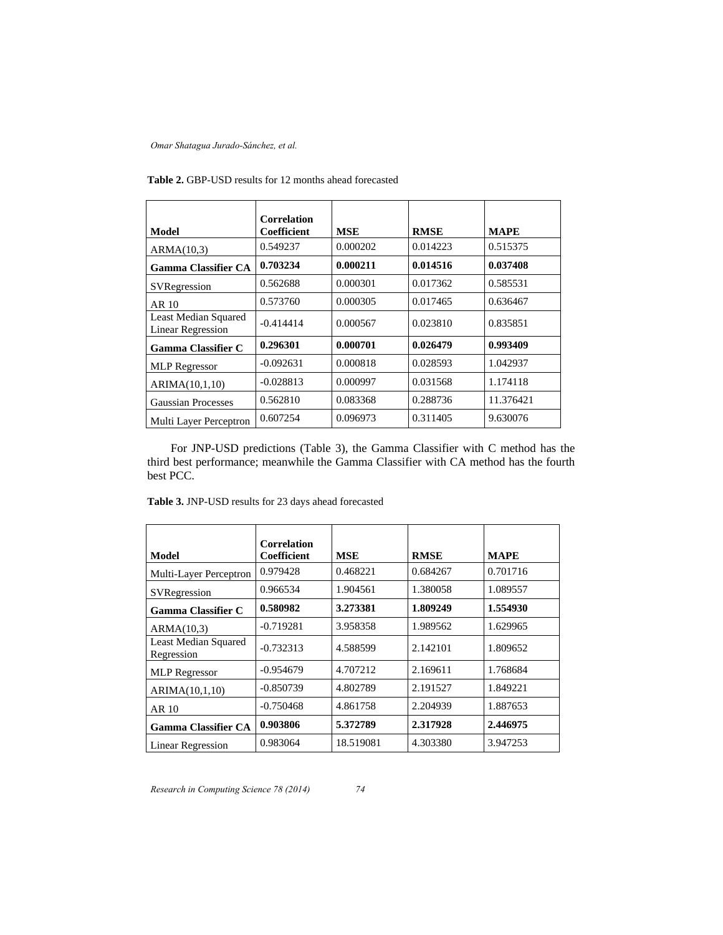|                                                  | <b>Correlation</b> |            |             |             |
|--------------------------------------------------|--------------------|------------|-------------|-------------|
| Model                                            | Coefficient        | <b>MSE</b> | <b>RMSE</b> | <b>MAPE</b> |
| ARMA(10,3)                                       | 0.549237           | 0.000202   | 0.014223    | 0.515375    |
| <b>Gamma Classifier CA</b>                       | 0.703234           | 0.000211   | 0.014516    | 0.037408    |
| SVRegression                                     | 0.562688           | 0.000301   | 0.017362    | 0.585531    |
| AR 10                                            | 0.573760           | 0.000305   | 0.017465    | 0.636467    |
| Least Median Squared<br><b>Linear Regression</b> | $-0.414414$        | 0.000567   | 0.023810    | 0.835851    |
| <b>Gamma Classifier C</b>                        | 0.296301           | 0.000701   | 0.026479    | 0.993409    |
| <b>MLP</b> Regressor                             | $-0.092631$        | 0.000818   | 0.028593    | 1.042937    |
| ARIMA(10,1,10)                                   | $-0.028813$        | 0.000997   | 0.031568    | 1.174118    |
| <b>Gaussian Processes</b>                        | 0.562810           | 0.083368   | 0.288736    | 11.376421   |
| Multi Layer Perceptron                           | 0.607254           | 0.096973   | 0.311405    | 9.630076    |

**Table 2.** GBP-USD results for 12 months ahead forecasted

For JNP-USD predictions (Table 3), the Gamma Classifier with C method has the third best performance; meanwhile the Gamma Classifier with CA method has the fourth best PCC.

| Model                                     | <b>Correlation</b><br>Coefficient | <b>MSE</b> | <b>RMSE</b> | <b>MAPE</b> |
|-------------------------------------------|-----------------------------------|------------|-------------|-------------|
| Multi-Layer Perceptron                    | 0.979428                          | 0.468221   | 0.684267    | 0.701716    |
| SVRegression                              | 0.966534                          | 1.904561   | 1.380058    | 1.089557    |
| Gamma Classifier C                        | 0.580982                          | 3.273381   | 1.809249    | 1.554930    |
| ARMA(10,3)                                | $-0.719281$                       | 3.958358   | 1.989562    | 1.629965    |
| <b>Least Median Squared</b><br>Regression | $-0.732313$                       | 4.588599   | 2.142101    | 1.809652    |
| <b>MLP</b> Regressor                      | $-0.954679$                       | 4.707212   | 2.169611    | 1.768684    |
| ARIMA(10,1,10)                            | $-0.850739$                       | 4.802789   | 2.191527    | 1.849221    |
| AR 10                                     | $-0.750468$                       | 4.861758   | 2.204939    | 1.887653    |
| <b>Gamma Classifier CA</b>                | 0.903806                          | 5.372789   | 2.317928    | 2.446975    |
| <b>Linear Regression</b>                  | 0.983064                          | 18.519081  | 4.303380    | 3.947253    |

| <b>Table 3. JNP-USD</b> results for 23 days ahead forecasted |  |  |
|--------------------------------------------------------------|--|--|
|                                                              |  |  |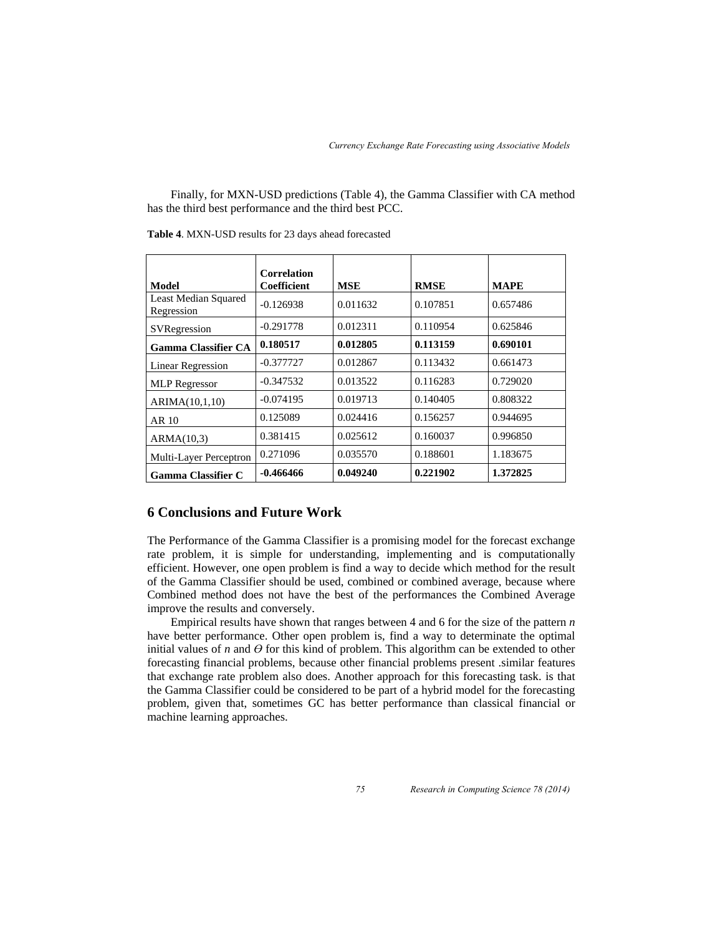Finally, for MXN-USD predictions (Table 4), the Gamma Classifier with CA method has the third best performance and the third best PCC.

|                                           | <b>Correlation</b> |            |             |             |
|-------------------------------------------|--------------------|------------|-------------|-------------|
| Model                                     | Coefficient        | <b>MSE</b> | <b>RMSE</b> | <b>MAPE</b> |
| <b>Least Median Squared</b><br>Regression | $-0.126938$        | 0.011632   | 0.107851    | 0.657486    |
| SVRegression                              | $-0.291778$        | 0.012311   | 0.110954    | 0.625846    |
| <b>Gamma Classifier CA</b>                | 0.180517           | 0.012805   | 0.113159    | 0.690101    |
| <b>Linear Regression</b>                  | $-0.377727$        | 0.012867   | 0.113432    | 0.661473    |
| <b>MLP</b> Regressor                      | $-0.347532$        | 0.013522   | 0.116283    | 0.729020    |
| ARIMA(10,1,10)                            | $-0.074195$        | 0.019713   | 0.140405    | 0.808322    |
| AR 10                                     | 0.125089           | 0.024416   | 0.156257    | 0.944695    |
| ARMA(10,3)                                | 0.381415           | 0.025612   | 0.160037    | 0.996850    |
| Multi-Layer Perceptron                    | 0.271096           | 0.035570   | 0.188601    | 1.183675    |
| <b>Gamma Classifier C</b>                 | $-0.466466$        | 0.049240   | 0.221902    | 1.372825    |

**Table 4**. MXN-USD results for 23 days ahead forecasted

# **6 Conclusions and Future Work**

The Performance of the Gamma Classifier is a promising model for the forecast exchange rate problem, it is simple for understanding, implementing and is computationally efficient. However, one open problem is find a way to decide which method for the result of the Gamma Classifier should be used, combined or combined average, because where Combined method does not have the best of the performances the Combined Average improve the results and conversely.

Empirical results have shown that ranges between 4 and 6 for the size of the pattern *n* have better performance. Other open problem is, find a way to determinate the optimal initial values of  $n$  and  $\Theta$  for this kind of problem. This algorithm can be extended to other forecasting financial problems, because other financial problems present .similar features that exchange rate problem also does. Another approach for this forecasting task. is that the Gamma Classifier could be considered to be part of a hybrid model for the forecasting problem, given that, sometimes GC has better performance than classical financial or machine learning approaches.